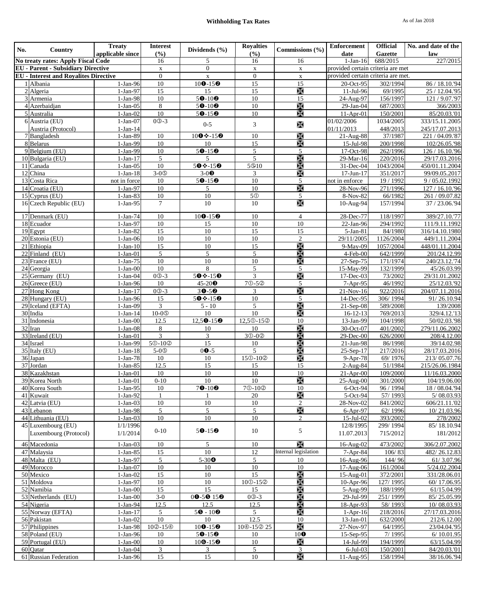# **Withholding Tax Rates** As of Jan 2018

| No.                                                                                       | Country                            | <b>Treaty</b>            | <b>Interest</b>                             | Dividends (%)                         | <b>Royalties</b>              | Commissions (%)                | <b>Enforcement</b>                 | <b>Official</b>            | No. and date of the              |
|-------------------------------------------------------------------------------------------|------------------------------------|--------------------------|---------------------------------------------|---------------------------------------|-------------------------------|--------------------------------|------------------------------------|----------------------------|----------------------------------|
|                                                                                           | No treaty rates: Apply Fiscal Code | applicable since         | (9/0)<br>16                                 | 5                                     | (9/0)<br>16                   | 16                             | date<br>$1-Jan-16$                 | <b>Gazette</b><br>688/2015 | law<br>227/2015                  |
|                                                                                           |                                    |                          | $\mathbf X$                                 | $\mathbf{0}$                          | $\mathbf X$                   | $\mathbf X$                    | provided certain criteria are met  |                            |                                  |
| <b>EU</b> - Parent - Subsidiary Directive<br><b>EU</b> - Interest and Royalites Directive |                                    |                          | $\boldsymbol{0}$                            | $\mathbf X$                           | $\mathbf{0}$                  | $\mathbf x$                    | provided certain criteria are met. |                            |                                  |
|                                                                                           | Albania                            | $1-Jan-96$               | 10                                          | $100 - 150$                           | 15                            | 15                             | 20-Oct-95                          | 302/1994                   | 86 / 18.10.'94                   |
|                                                                                           | 2 Algeria                          | 1-Jan-97                 | 15                                          | 15                                    | 15                            | $\chi$                         | 11-Jul-96                          | 69/1995                    | 25 / 12.04.'95                   |
|                                                                                           | $\overline{3}$ Armenia             | $1-Jan-98$               | $10\,$                                      | $50 - 100$                            | 10                            | 15                             | 24-Aug-97                          | 156/1997                   | 121 / 9.07.'97                   |
|                                                                                           | 4 Azerbaidjan                      | $1-Jan-05$               | 8                                           | $50 - 100$                            | 10                            | $\mathbb{X}$                   | 29-Jan-04                          | 687/2003                   | 366/2003                         |
|                                                                                           | 5 Australia                        | $1-Jan-02$               | $10\,$                                      | $50 - 150$                            | 10                            | $\mathbb{R}$                   | $11-Apr-01$                        | 150/2001                   | 85/20.03.'01                     |
|                                                                                           | 6 Austria (EU)                     | $1-Jan-07$               | $0@-3$                                      | $0 - 5$                               | 3                             | X                              | 01/02/2006                         | 1034/2005                  | 333/15.11.2005                   |
|                                                                                           | Austria (Protocol)                 | $1-Jan-14$               |                                             |                                       |                               |                                | 01/11/2013                         | 448/2013                   | 245/17.07.2013                   |
|                                                                                           | 7 Bangladesh                       | $1-Jan-89$               | 10                                          | $100* - 150$                          | 10                            | X                              | $21-Aug-88$                        | 37/1987                    | 221 / 04.09.87                   |
|                                                                                           | 8 Belarus<br>9 Belgium (EU)        | 1-Jan-99<br>1-Jan-99     | $10\,$<br>$10\,$                            | 10<br>$50 - 150$                      | 15<br>5                       | $\mathbb{X}$<br>5              | 15-Jul-98<br>17-Oct-98             | 200/1998<br>262/1996       | 102/26.05.'98<br>126 / 16.10.'96 |
|                                                                                           | 10 Bulgaria (EU)                   | $1-Jan-17$               | 5                                           | 5                                     | 5                             | X                              | 29-Mar-16                          | 220/2016                   | 29/17.03.2016                    |
|                                                                                           | $\overline{11}$ Canada             | $1-Jan-05$               | 10                                          | $50* - 150$                           | 5 <sup>®10</sup>              | X                              | 31-Dec-04                          | 1043/2004                  | 450/01.11.2004                   |
|                                                                                           | 12 China                           | $1-Jan-18$               | $3-05$                                      | $3-0$ <sup><math>\odot</math></sup>   | 3                             | $\mathbb{R}$                   | $17 - Jun - 17$                    | 351/2017                   | 99/09.05.2017                    |
|                                                                                           | 13 Costa Rica                      | not in force             | 10                                          | $50 - 150$                            | 10                            | 5                              | not in enforce                     | 19 / 1992                  | 9/05.02.1992                     |
|                                                                                           | 14 Croatia (EU)                    | $\overline{1}$ -Jan-97   | $10\,$                                      | $\sqrt{5}$                            | 10                            | X                              | 28-Nov-96                          | 271/1996                   | 127 / 16.10.'96                  |
|                                                                                           | 15 Cyprus (EU)                     | $1-Jan-83$               | $10\,$                                      | $10\,$                                | 50                            | 5                              | 8-Nov-82                           | 66/1982                    | 261 / 09.07.82                   |
|                                                                                           | 16 Czech Republic (EU)             | $1-Jan-95$               | $\tau$                                      | 10                                    | 10                            | X                              | 10-Aug-94                          | 157/1994                   | 37 / 23.06.'94                   |
|                                                                                           | 17 Denmark (EU)                    | $1-Jan-74$               | 10                                          |                                       | 10                            | $\overline{4}$                 | $28$ -Dec-77                       | 118/1997                   | 389/27.10.'77                    |
|                                                                                           | 18 Ecuador                         | $1-Jan-97$               | $10\,$                                      | $100 - 150$<br>$\overline{15}$        | $\overline{10}$               | 10                             | $\overline{22}$ -Jan-96            | 294/1992                   | 111/9.11.1992                    |
|                                                                                           | 19 Egypt                           | $1-Jan-82$               | 15                                          | 10                                    | 15                            | 15                             | 5-Jan-81                           | 84/1980                    | 316/14.10.1980                   |
|                                                                                           | 20 Estonia (EU)                    | $1-Jan-06$               | $10\,$                                      | $10\,$                                | $\overline{10}$               | $\mathfrak{2}$                 | 29/11/2005                         | 1126/2004                  | 449/1.11.2004                    |
|                                                                                           | 21 Ethiopia                        | $1-Jan-10$               | 15                                          | $10\,$                                | 15                            | $\mathbb{X}$                   | 9-May-09                           | 1057/2004                  | 448/01.11.2004                   |
|                                                                                           | $22$ Finland (EU)                  | $1-Jan-01$               | 5                                           | 5                                     | $\overline{5}$                | $\mathbb{R}$                   | 4-Feb-00                           | 642/1999                   | 201/24.12.99                     |
|                                                                                           | 23 France (EU)                     | $1-Jan-75$               | $10\,$                                      | 10                                    | 10                            | $\frac{1}{20}$                 | 27-Sep-75                          | 171/1974                   | 240/23.12.'74                    |
|                                                                                           | 24 Georgia                         | $1-Jan-00$               | 10                                          | 8                                     | 5                             | $\overline{5}$                 | 15-May-99                          | 132/1999                   | 45/26.03.99                      |
|                                                                                           | 25 Germany (EU)                    | $1-Jan-04$               | $0@-3$                                      | $50*150$                              | $\overline{3}$                | X                              | $17 - Dec-03$                      | 73/2002                    | 29/31.01.2002                    |
|                                                                                           | 26 Greece (EU)                     | $1-Jan-96$               | 10                                          | $45-20$ <sup><math>\odot</math></sup> | 70-50                         | 5                              | 7-Apr-95                           | 46/1992                    | 25/12.03.'92                     |
|                                                                                           | 27 Hong Kong                       | $1-Jan-17$               | $0@-3$                                      | $30 - 50$                             | 3                             | X                              | $21-Nov-16$                        | 922/2016                   | 204/07.11.2016                   |
|                                                                                           | 28 Hungary (EU)                    | 1-Jan-96                 | 15                                          | $50*150$                              | 10                            | 5<br>$\frac{1}{20}$            | 14-Dec-95                          | 306/1994                   | 91/26.10.94                      |
|                                                                                           | 29 Iceland (EFTA)<br>30 India      | $1-Jan-09$<br>$1-Jan-14$ | 3<br>$10-05$                                | $5 - 10$<br>10                        | $\overline{5}$<br>10          | $\mathbb{R}$                   | 21-Sep-08<br>$16 - 12 - 13$        | 589/2008<br>769/2013       | 139/2008<br>329/4.12.'13         |
|                                                                                           | 31 Indonesia                       | $1-Jan-00$               | 12.5                                        | $12,50 - 150$                         | 12,50-15 <sup>®</sup>         | 10                             | 13-Jan-99                          | 104/1998                   | $\overline{50/02.03.98}$         |
|                                                                                           | 32 Iran                            | $1-Jan-08$               | 8                                           | 10                                    | 10                            | X                              | $30-Oct-07$                        | 401/2002                   | 279/11.06.2002                   |
|                                                                                           | 33 Ireland (EU)                    | $\overline{1}$ -Jan-01   | 3                                           | $\overline{\mathbf{3}}$               | 30-02                         | $\frac{1}{20}$                 | 29-Dec-00                          | 626/2000                   | 208/4.12.00                      |
|                                                                                           | 34 Israel                          | 1-Jan-99                 | 50-10 <sup>2</sup>                          | 15                                    | 10                            | X                              | 21-Jun-98                          | 86/1998                    | 39/14.02.98                      |
|                                                                                           | 35 Italy (EU)                      | $1-Jan-18$               | $5-0o$                                      | $00-5$                                | 5                             | $\frac{1}{20}$                 | 25-Sep-17                          | 217/2016                   | 28/17.03.2016                    |
|                                                                                           | 36 Japan                           | $1-Jan-78$               | 10                                          | 10                                    | 150-102                       | $\mathbb{X}$                   | 9-Apr-78                           | 69/1976                    | 213/05.07.76                     |
|                                                                                           | 37 Jordan                          | $1-Jan-85$               | 12.5                                        | 15                                    | 15                            | 15                             | 2-Aug-84                           | 51/1984                    | 215/26.06.1984                   |
|                                                                                           | 38 Kazakhstan                      | $\overline{1}$ -Jan-01   | 10                                          | 10                                    | $10\,$                        | 10                             | $\overline{21}$ -Apr-00            | 109/2000                   | 11/16.03.2000                    |
|                                                                                           | 39 Korea North                     | $1-Jan-01$               | $0 - 10$                                    | $10\,$                                | 10                            | $\mathbb{X}$                   | 25-Aug-00                          | 301/2000                   | 104/19.06.00                     |
|                                                                                           | 40 Korea South<br>41 Kuwait        | 1-Jan-95                 | $10$                                        | $70 - 100$                            | 70-10 <sup>2</sup>            | $10\,$                         | 6-Oct-94                           | 96 / 1994                  | 18/08.04.'94                     |
|                                                                                           | 42 Latvia (EU)                     | $1-Jan-92$<br>$1-Jan-03$ | -1<br>10                                    | 1<br>10                               | 20<br>10                      | $\mathbb{X}$<br>$\overline{c}$ | 5-Oct-94<br>28-Nov-02              | 57/1993<br>841/2002        | 5/08.03.93<br>606/21.11.02       |
|                                                                                           | 43 Lebanon                         | $1-Jan-98$               | 5                                           | 5                                     | $\mathfrak{S}$                | $\frac{1}{20}$                 | 6-Apr-97                           | 62/1996                    | 10/21.03.96                      |
|                                                                                           | 44 Lithuania (EU)                  | $1-Jan-03$               | 10                                          | 10                                    | 10                            | $\overline{2}$                 | 15-Jul-02                          | 393/2002                   | 278/2002                         |
|                                                                                           | 45 Luxembourg (EU)                 | 1/1/1996                 |                                             |                                       |                               |                                | 12/8/1995                          | 299/1994                   | 85/18.10.94                      |
|                                                                                           | Luxembourg (Protocol)              | 1/1/2014                 | $0 - 10$                                    | $50-150$                              | 10                            | 5                              | 11.07.2013                         | 715/2012                   | 181/2012                         |
|                                                                                           | 46 Macedonia                       | $1-Jan-03$               | 10                                          | 5                                     | $10\,$                        | $\frac{1}{20}$                 | 16-Aug-02                          | 473/2002                   | 306/2.07.2002                    |
|                                                                                           | 47 Malaysia                        | $1-Jan-85$               | 15                                          | 10                                    | 12                            | Internal legislation           | 7-Apr-84                           | 106/83                     | 482/26.12.83                     |
|                                                                                           | 48 Malta (EU)                      | 1-Jan-97                 | 5                                           | $5 - 300$                             | 5                             | 10                             | 16-Aug-96                          | 144/96                     | 61/3.07.96                       |
|                                                                                           | 49 Morocco                         | $1-Jan-07$               | $10\,$                                      | 10                                    | $10\,$                        | $10\,$                         | 17-Aug-06                          | 161/2004                   | 5/24.02.2004                     |
|                                                                                           | 50 Mexico                          | $1-Jan-02$               | 15                                          | 10                                    | 15                            | X                              | 15-Aug-01                          | 372/2001                   | 331/28.06.01                     |
|                                                                                           | 51 Moldova                         | $1-Jan-97$               | 10                                          | 10                                    | 100-15 <sup>2</sup>           | $\frac{1}{20}$                 | $10-Apr-96$                        | 127/1995                   | 60/17.06.95                      |
|                                                                                           | 52 Namibia                         | $1-Jan-00$               | 15                                          | 15                                    | 15                            | $\frac{1}{20}$                 | 5-Aug-99                           | 188/1999                   | 61/15.04.99                      |
|                                                                                           | 53 Netherlands (EU)                | $1-Jan-00$               | $3 - 0$                                     | $00 - 50150$                          | $\overline{0}$ $\overline{3}$ | $\chi$                         | 29-Jul-99                          | 251/1999                   | 85/25.05.99                      |
|                                                                                           | 54 Nigeria                         | $1-Jan-94$               | 12.5                                        | 12.5                                  | 12.5                          | $\mathbb{X}$                   | 18-Apr-93                          | 58/1993                    | 10/08.03.93                      |
|                                                                                           | 55 Norway (EFTA)                   | $1-Jan-17$               | 5                                           | $50 - 100$                            | 5 <sup>5</sup>                | $\mathbb{R}$                   | $1-Apr-16$                         | 218/2016                   | 27/17.03.2016                    |
|                                                                                           | 56 Pakistan                        | $1-Jan-02$               | 10                                          | 10                                    | 12.5                          | 10                             | $13-Jan-01$                        | 632/2000                   | 212/6.12.00                      |
|                                                                                           | 57 Philippines                     | 1-Jan-98                 | 10 <sup>2</sup> -15 <sup><sup>®</sup></sup> | $100 - 150$                           | 104-152 25                    | $\mathbb{X}$                   | 27-Nov-97                          | 64/1995                    | 23/04.04.'95                     |
|                                                                                           | 58 Poland (EU)<br>59 Portugal (EU) | 1-Jan-96<br>$1-Jan-00$   | 10<br>10                                    | $50-150$<br>$100 - 150$               | 10<br>10                      | 100<br>$\mathbb{R}$            | $15-Sep-95$<br>14-Jul-99           | 7/1995<br>194/1999         | 6/10.01.95<br>63/15.04.99        |
|                                                                                           | 60 Oatar                           | $1-Jan-04$               | 3                                           | 3                                     | $\overline{5}$                | 3                              | $6$ -Jul-03                        | 150/2001                   | 84/20.03.'01                     |
|                                                                                           | 61 Russian Federation              | $1-Jan-96$               | 15                                          | 15                                    | 10                            | $\mathbb{X}$                   | 11-Aug-95                          | 158/1994                   | 38/16.06.'94                     |
|                                                                                           |                                    |                          |                                             |                                       |                               |                                |                                    |                            |                                  |